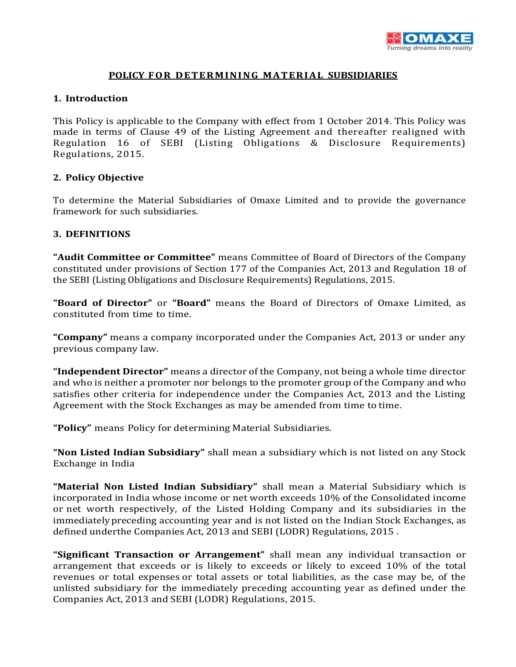

### **POLICY FOR DETERMINING MATERIAL SUBSIDIARIES**

#### **1. Introduction**

This Policy is applicable to the Company with effect from 1 October 2014. This Policy was made in terms of Clause 49 of the Listing Agreement and thereafter realigned with Regulation 16 of SEBI (Listing Obligations & Disclosure Requirements) Regulations, 2015.

## **2. Policy Objective**

To determine the Material Subsidiaries of Omaxe Limited and to provide the governance framework for such subsidiaries.

## **3. DEFINITIONS**

**"Audit Committee or Committee"** means Committee of Board of Directors of the Company constituted under provisions of Section 177 of the Companies Act, 2013 and Regulation 18 of the SEBI (Listing Obligations and Disclosure Requirements) Regulations, 2015.

**"Board of Director"** or **"Board"** means the Board of Directors of Omaxe Limited, as constituted from time to time.

**"Company"** means a company incorporated under the Companies Act, 2013 or under any previous company law.

**"Independent Director"** means a director of the Company, not being a whole time director and who is neither a promoter nor belongs to the promoter group of the Company and who satisfies other criteria for independence under the Companies Act, 2013 and the Listing Agreement with the Stock Exchanges as may be amended from time to time.

**"Policy"** means Policy for determining Material Subsidiaries.

**"Non Listed Indian Subsidiary"** shall mean a subsidiary which is not listed on any Stock Exchange in India

**"Material Non Listed Indian Subsidiary"** shall mean a Material Subsidiary which is incorporated in India whose income or net worth exceeds 10% of the Consolidated income or net worth respectively, of the Listed Holding Company and its subsidiaries in the immediatelypreceding accounting year and is not listed on the Indian Stock Exchanges, as defined underthe Companies Act, 2013 and SEBI (LODR) Regulations, 2015 .

**"Significant Transaction or Arrangement"** shall mean any individual transaction or arrangement that exceeds or is likely to exceeds or likely to exceed 10% of the total revenues or total expenses or total assets or total liabilities, as the case may be, of the unlisted subsidiary for the immediately preceding accounting year as defined under the Companies Act, 2013 and SEBI (LODR) Regulations, 2015.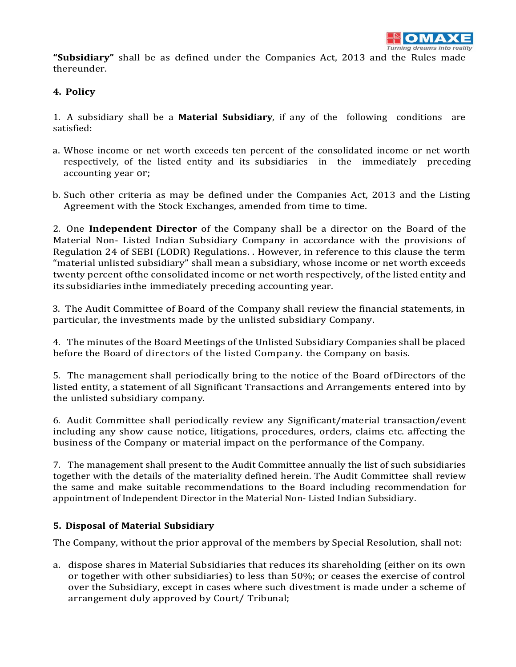**"Subsidiary"** shall be as defined under the Companies Act, 2013 and the Rules made thereunder.

# **4. Policy**

1. A subsidiary shall be a **Material Subsidiary**, if any of the following conditions are satisfied:

- a. Whose income or net worth exceeds ten percent of the consolidated income or net worth respectively, of the listed entity and its subsidiaries in the immediately preceding accounting year or;
- b. Such other criteria as may be defined under the Companies Act, 2013 and the Listing Agreement with the Stock Exchanges, amended from time to time.

2. One **Independent Director** of the Company shall be a director on the Board of the Material Non- Listed Indian Subsidiary Company in accordance with the provisions of Regulation 24 of SEBI (LODR) Regulations. . However, in reference to this clause the term "material unlisted subsidiary" shall mean a subsidiary, whose income or net worth exceeds twenty percent ofthe consolidated income or net worth respectively, of the listed entity and its subsidiaries inthe immediately preceding accounting year.

3. The Audit Committee of Board of the Company shall review the financial statements, in particular, the investments made by the unlisted subsidiary Company.

4. The minutes of the Board Meetings of the Unlisted Subsidiary Companies shall be placed before the Board of directors of the listed Company. the Company on basis.

5. The management shall periodically bring to the notice of the Board ofDirectors of the listed entity, a statement of all Significant Transactions and Arrangements entered into by the unlisted subsidiary company.

6. Audit Committee shall periodically review any Significant/material transaction/event including any show cause notice, litigations, procedures, orders, claims etc. affecting the business of the Company or material impact on the performance of the Company.

7. The management shall present to the Audit Committee annually the list of such subsidiaries together with the details of the materiality defined herein. The Audit Committee shall review the same and make suitable recommendations to the Board including recommendation for appointment of Independent Director in the Material Non- Listed Indian Subsidiary.

# **5. Disposal of Material Subsidiary**

The Company, without the prior approval of the members by Special Resolution, shall not:

a. dispose shares in Material Subsidiaries that reduces its shareholding (either on its own or together with other subsidiaries) to less than 50%; or ceases the exercise of control over the Subsidiary, except in cases where such divestment is made under a scheme of arrangement duly approved by Court/ Tribunal;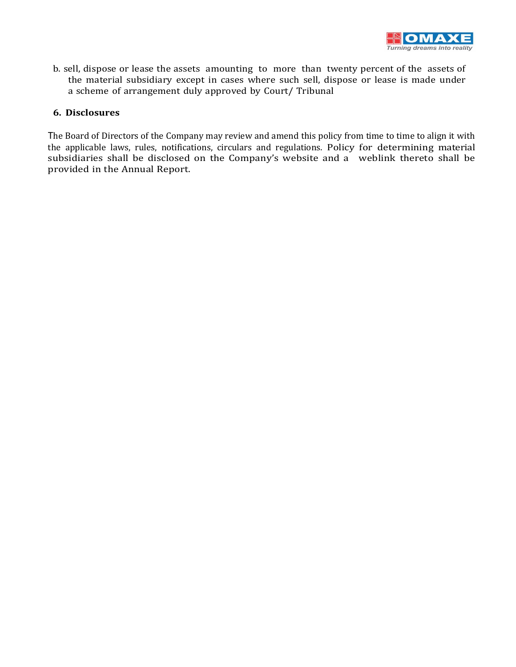

b. sell, dispose or lease the assets amounting to more than twenty percent of the assets of the material subsidiary except in cases where such sell, dispose or lease is made under a scheme of arrangement duly approved by Court/ Tribunal

## **6. Disclosures**

The Board of Directors of the Company may review and amend this policy from time to time to align it with the applicable laws, rules, notifications, circulars and regulations. Policy for determining material subsidiaries shall be disclosed on the Company's website and a weblink thereto shall be provided in the Annual Report.